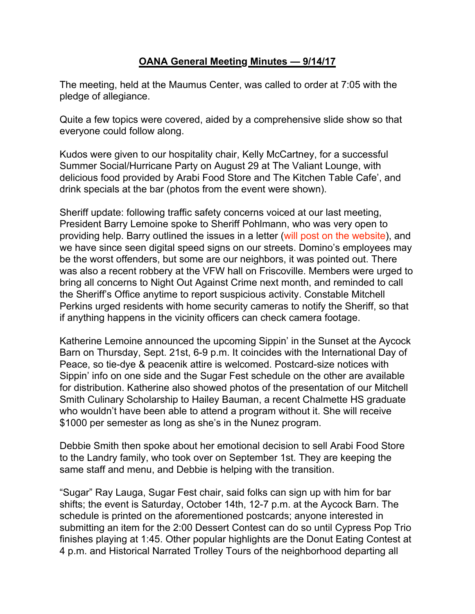## **OANA General Meeting Minutes — 9/14/17**

The meeting, held at the Maumus Center, was called to order at 7:05 with the pledge of allegiance.

Quite a few topics were covered, aided by a comprehensive slide show so that everyone could follow along.

Kudos were given to our hospitality chair, Kelly McCartney, for a successful Summer Social/Hurricane Party on August 29 at The Valiant Lounge, with delicious food provided by Arabi Food Store and The Kitchen Table Cafe', and drink specials at the bar (photos from the event were shown).

Sheriff update: following traffic safety concerns voiced at our last meeting, President Barry Lemoine spoke to Sheriff Pohlmann, who was very open to providing help. Barry outlined the issues in a letter (will post on the website), and we have since seen digital speed signs on our streets. Domino's employees may be the worst offenders, but some are our neighbors, it was pointed out. There was also a recent robbery at the VFW hall on Friscoville. Members were urged to bring all concerns to Night Out Against Crime next month, and reminded to call the Sheriff's Office anytime to report suspicious activity. Constable Mitchell Perkins urged residents with home security cameras to notify the Sheriff, so that if anything happens in the vicinity officers can check camera footage.

Katherine Lemoine announced the upcoming Sippin' in the Sunset at the Aycock Barn on Thursday, Sept. 21st, 6-9 p.m. It coincides with the International Day of Peace, so tie-dye & peacenik attire is welcomed. Postcard-size notices with Sippin' info on one side and the Sugar Fest schedule on the other are available for distribution. Katherine also showed photos of the presentation of our Mitchell Smith Culinary Scholarship to Hailey Bauman, a recent Chalmette HS graduate who wouldn't have been able to attend a program without it. She will receive \$1000 per semester as long as she's in the Nunez program.

Debbie Smith then spoke about her emotional decision to sell Arabi Food Store to the Landry family, who took over on September 1st. They are keeping the same staff and menu, and Debbie is helping with the transition.

"Sugar" Ray Lauga, Sugar Fest chair, said folks can sign up with him for bar shifts; the event is Saturday, October 14th, 12-7 p.m. at the Aycock Barn. The schedule is printed on the aforementioned postcards; anyone interested in submitting an item for the 2:00 Dessert Contest can do so until Cypress Pop Trio finishes playing at 1:45. Other popular highlights are the Donut Eating Contest at 4 p.m. and Historical Narrated Trolley Tours of the neighborhood departing all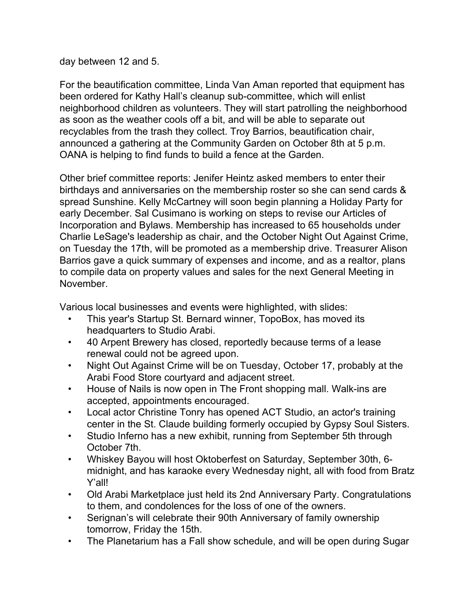## day between 12 and 5.

For the beautification committee, Linda Van Aman reported that equipment has been ordered for Kathy Hall's cleanup sub-committee, which will enlist neighborhood children as volunteers. They will start patrolling the neighborhood as soon as the weather cools off a bit, and will be able to separate out recyclables from the trash they collect. Troy Barrios, beautification chair, announced a gathering at the Community Garden on October 8th at 5 p.m. OANA is helping to find funds to build a fence at the Garden.

Other brief committee reports: Jenifer Heintz asked members to enter their birthdays and anniversaries on the membership roster so she can send cards & spread Sunshine. Kelly McCartney will soon begin planning a Holiday Party for early December. Sal Cusimano is working on steps to revise our Articles of Incorporation and Bylaws. Membership has increased to 65 households under Charlie LeSage's leadership as chair, and the October Night Out Against Crime, on Tuesday the 17th, will be promoted as a membership drive. Treasurer Alison Barrios gave a quick summary of expenses and income, and as a realtor, plans to compile data on property values and sales for the next General Meeting in November.

Various local businesses and events were highlighted, with slides:

- This year's Startup St. Bernard winner, TopoBox, has moved its headquarters to Studio Arabi.
- 40 Arpent Brewery has closed, reportedly because terms of a lease renewal could not be agreed upon.
- Night Out Against Crime will be on Tuesday, October 17, probably at the Arabi Food Store courtyard and adjacent street.
- House of Nails is now open in The Front shopping mall. Walk-ins are accepted, appointments encouraged.
- Local actor Christine Tonry has opened ACT Studio, an actor's training center in the St. Claude building formerly occupied by Gypsy Soul Sisters.
- Studio Inferno has a new exhibit, running from September 5th through October 7th.
- Whiskey Bayou will host Oktoberfest on Saturday, September 30th, 6 midnight, and has karaoke every Wednesday night, all with food from Bratz Y'all!
- Old Arabi Marketplace just held its 2nd Anniversary Party. Congratulations to them, and condolences for the loss of one of the owners.
- Serignan's will celebrate their 90th Anniversary of family ownership tomorrow, Friday the 15th.
- The Planetarium has a Fall show schedule, and will be open during Sugar